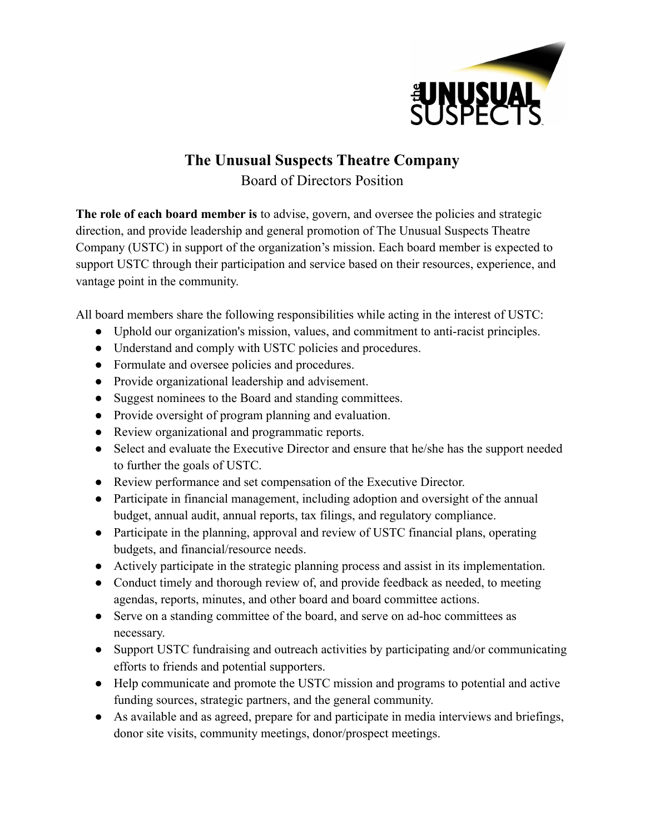

## **The Unusual Suspects Theatre Company** Board of Directors Position

**The role of each board member is** to advise, govern, and oversee the policies and strategic direction, and provide leadership and general promotion of The Unusual Suspects Theatre Company (USTC) in support of the organization's mission. Each board member is expected to support USTC through their participation and service based on their resources, experience, and vantage point in the community.

All board members share the following responsibilities while acting in the interest of USTC:

- Uphold our organization's mission, values, and commitment to anti-racist principles.
- Understand and comply with USTC policies and procedures.
- Formulate and oversee policies and procedures.
- Provide organizational leadership and advisement.
- Suggest nominees to the Board and standing committees.
- Provide oversight of program planning and evaluation.
- Review organizational and programmatic reports.
- Select and evaluate the Executive Director and ensure that he/she has the support needed to further the goals of USTC.
- Review performance and set compensation of the Executive Director.
- Participate in financial management, including adoption and oversight of the annual budget, annual audit, annual reports, tax filings, and regulatory compliance.
- Participate in the planning, approval and review of USTC financial plans, operating budgets, and financial/resource needs.
- Actively participate in the strategic planning process and assist in its implementation.
- Conduct timely and thorough review of, and provide feedback as needed, to meeting agendas, reports, minutes, and other board and board committee actions.
- Serve on a standing committee of the board, and serve on ad-hoc committees as necessary.
- Support USTC fundraising and outreach activities by participating and/or communicating efforts to friends and potential supporters.
- Help communicate and promote the USTC mission and programs to potential and active funding sources, strategic partners, and the general community.
- As available and as agreed, prepare for and participate in media interviews and briefings, donor site visits, community meetings, donor/prospect meetings.